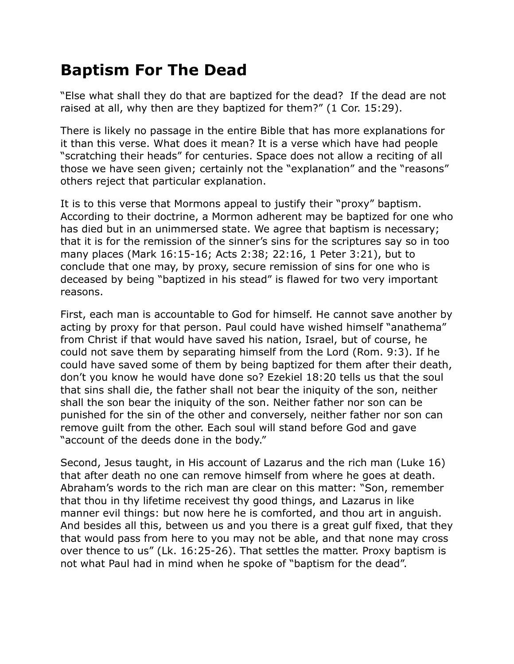## **Baptism For The Dead**

"Else what shall they do that are baptized for the dead? If the dead are not raised at all, why then are they baptized for them?" (1 Cor. 15:29).

There is likely no passage in the entire Bible that has more explanations for it than this verse. What does it mean? It is a verse which have had people "scratching their heads" for centuries. Space does not allow a reciting of all those we have seen given; certainly not the "explanation" and the "reasons" others reject that particular explanation.

It is to this verse that Mormons appeal to justify their "proxy" baptism. According to their doctrine, a Mormon adherent may be baptized for one who has died but in an unimmersed state. We agree that baptism is necessary; that it is for the remission of the sinner's sins for the scriptures say so in too many places (Mark 16:15-16; Acts 2:38; 22:16, 1 Peter 3:21), but to conclude that one may, by proxy, secure remission of sins for one who is deceased by being "baptized in his stead" is flawed for two very important reasons.

First, each man is accountable to God for himself. He cannot save another by acting by proxy for that person. Paul could have wished himself "anathema" from Christ if that would have saved his nation, Israel, but of course, he could not save them by separating himself from the Lord (Rom. 9:3). If he could have saved some of them by being baptized for them after their death, don't you know he would have done so? Ezekiel 18:20 tells us that the soul that sins shall die, the father shall not bear the iniquity of the son, neither shall the son bear the iniquity of the son. Neither father nor son can be punished for the sin of the other and conversely, neither father nor son can remove guilt from the other. Each soul will stand before God and gave "account of the deeds done in the body."

Second, Jesus taught, in His account of Lazarus and the rich man (Luke 16) that after death no one can remove himself from where he goes at death. Abraham's words to the rich man are clear on this matter: "Son, remember that thou in thy lifetime receivest thy good things, and Lazarus in like manner evil things: but now here he is comforted, and thou art in anguish. And besides all this, between us and you there is a great gulf fixed, that they that would pass from here to you may not be able, and that none may cross over thence to us" (Lk. 16:25-26). That settles the matter. Proxy baptism is not what Paul had in mind when he spoke of "baptism for the dead".